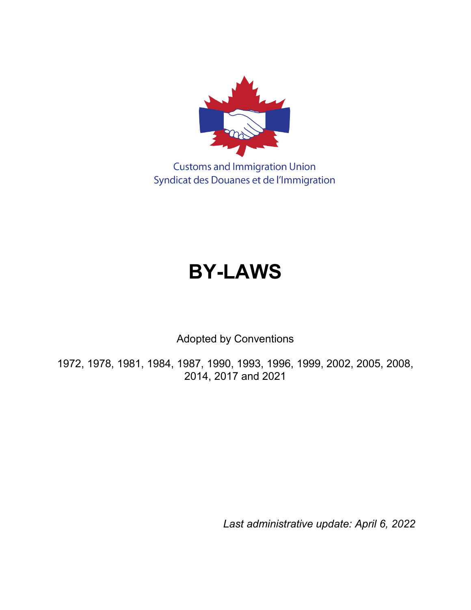

**Customs and Immigration Union** Syndicat des Douanes et de l'Immigration

# **BY-LAWS**

Adopted by Conventions

1972, 1978, 1981, 1984, 1987, 1990, 1993, 1996, 1999, 2002, 2005, 2008, 2014, 2017 and 2021

*Last administrative update: April 6, 2022*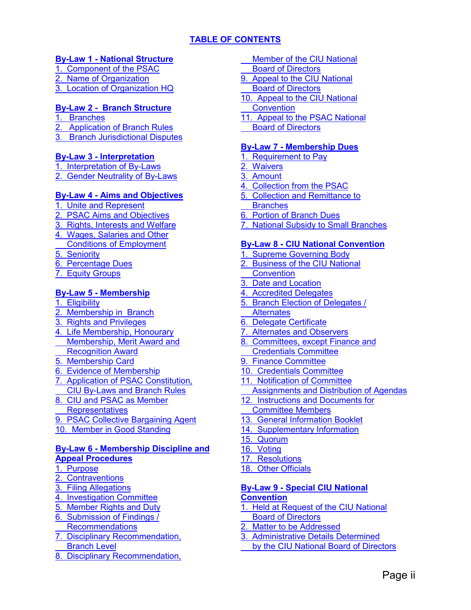# **[TABLE OF CONTENTS](#page-2-0)**

# <span id="page-2-0"></span>**By-Law 1 - [National Structure](#page-4-0)**

- 1. [Component of the PSAC](#page-4-1)
- 2. [Name of Organization](#page-4-2)
- [3. Location of Organization HQ](#page-4-3)

# **[By-Law 2 - Branch Structure](#page-4-4)**

- 1. [Branches](#page-4-5)
- **Application of Branch Rules**
- [3. Branch Jurisdictional](#page-4-7) Disputes

#### **By-Law 3 - [Interpretation](#page-4-8)**

1. [Interpretation of By-Laws](#page-4-9) 2. [Gender Neutrality of By-Laws](#page-4-10)

#### **By-Law 4 - [Aims and Objectives](#page-5-0)**

- 1. [Unite and Represent](#page-5-1) 2. [PSAC Aims and Objectives](#page-5-2) 3. [Rights, Interests and Welfare](#page-5-3) 4. [Wages, Salaries and Other](#page-5-4)  [Conditions of Employment](#page-5-4) [5. Seniority](#page-5-5) 6. [Percentage Dues](#page-5-6)
- 7. [Equity Groups](#page-5-7)

#### **By-Law 5 - [Membership](#page-5-8)**

- 1. [Eligibility](#page-5-9)
- 2. [Membership in Branch](#page-5-10)
- 3. [Rights and Privileges](#page-5-11)
- 4. [Life Membership, Honourary](#page-6-0) [Membership, Merit Award and](#page-6-0)
- [Recognition Award](#page-6-0)
- 5. [Membership Card](#page-6-1)
- 6. [Evidence of Membership](#page-6-2)
- 7. [Application of PSAC Constitution,](#page-6-3) [CIU By-Laws and Branch Rules](#page-6-3)
- 8. [CIU and PSAC as Member](#page-6-4)
- **[Representatives](#page-6-4)**
- 9. [PSAC Collective Bargaining Agent](#page-6-5)
- [10. Member in Good Standing](#page-6-6)

#### **By-Law 6 - [Membership Discipline and](#page-7-0)  [Appeal Procedures](#page-7-0)**

- 1. [Purpose](#page-7-1)
- 2. [Contraventions](#page-7-2)
- 3. [Filing Allegations](#page-7-3)
- 4. [Investigation Committee](#page-8-0)
- 5. [Member Rights and Duty](#page-8-1)
- 6. [Submission of Findings /](#page-9-0)  [Recommendations](#page-9-0)
- 7. [Disciplinary Recommendation,](#page-9-1)  [Branch Level](#page-9-1)
- 8. [Disciplinary Recommendation,](#page-9-2)
- [Member of the CIU National](#page-9-2)
- [Board of Directors](#page-9-2)
- 9. [Appeal to the CIU National](#page-9-3)
- [Board of Directors](#page-9-3)
- [10. Appeal to the CIU National](#page-10-0)
- **[Convention](#page-10-0)**
- [11. Appeal to the PSAC National](#page-10-1) [Board of Directors](#page-10-1)

#### **By-Law 7 - [Membership Dues](#page-10-2)**

- 1. [Requirement to Pay](#page-10-3)
- 2. [Waivers](#page-10-4)
- 3. [Amount](#page-10-5)
- 4. [Collection from the PSAC](#page-10-6)
- 5. [Collection and Remittance to](#page-10-7)
- **[Branches](#page-10-7)**
- 6. [Portion of Branch Dues](#page-11-0)
- **[National Subsidy to Small Branches](#page-11-1)**

#### **By-Law 8 - [CIU National Convention](#page-11-2)**

- 1. [Supreme Governing Body](#page-11-3)
- 2. [Business of the CIU National](#page-11-4)  **[Convention](#page-11-4)**
- 3. [Date and Location](#page-11-5)
- 4. [Accredited Delegates](#page-11-6)
- 5. [Branch Election of Delegates /](#page-11-7)
- **[Alternates](#page-11-7)**
- 6. [Delegate Certificate](#page-12-0)
- 7. [Alternates and Observers](#page-12-1)
- 8. [Committees, except Finance and](#page-12-2)
- [Credentials Committee](#page-12-2)
- 9. [Finance Committee](#page-12-3)
- [10. Credentials Committee](#page-13-0)
- [11. Notification of Committee](#page-13-1)
- [Assignments and Distribution](#page-13-1) of Agendas
- 12. [Instructions and](#page-13-2) Documents for
- [Committee Members](#page-13-2)
- [13. General Information Booklet](#page-13-3)
- [14. Supplementary Information](#page-13-4)
- [15. Quorum](#page-13-5)
- [16. Voting](#page-14-0)
- [17. Resolutions](#page-14-1)
- [18. Other Officials](#page-14-2)

# **By-Law 9 - [Special CIU National](#page-15-0)**

# **[Convention](#page-15-0)**

- 1. [Held at Request of the CIU National](#page-15-1)  [Board of Directors](#page-15-1)
- 2. [Matter to be](#page-15-2) Addressed
- 3. [Administrative Details Determined](#page-15-3)
- [by the CIU National Board of](#page-15-3) Directors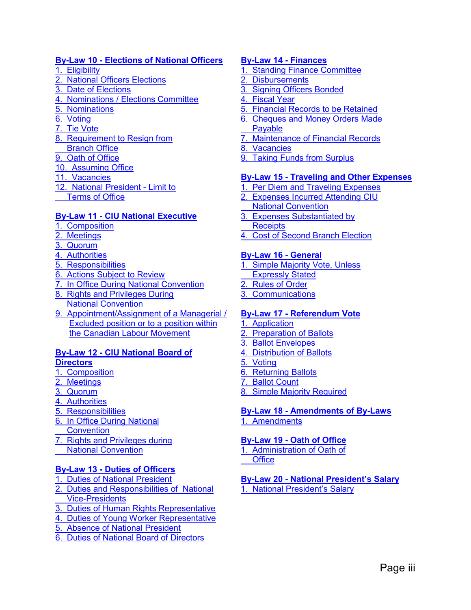#### **By-Law 10 - [Elections of National Officers](#page-15-4)**

- 1. [Eligibility](#page-15-5)
- 2. [National Officers](#page-15-6) Elections
- 3. [Date of Elections](#page-15-7)
- 4. [Nominations / Elections Committee](#page-15-8)
- 5. [Nominations](#page-16-0)
- 6. [Voting](#page-16-1)
- 7. [Tie Vote](#page-17-0)
- 8. [Requirement to Resign from](#page-17-1)
- [Branch Office](#page-17-1)
- 9. [Oath of Office](#page-17-2)
- [10. Assuming Office](#page-17-3)
- [11. Vacancies](#page-17-4)
- [12. National President -](#page-17-5) Limit to [Terms of Office](#page-17-5)

#### **By-Law 11 - [CIU National Executive](#page-17-6)**

- 1. [Composition](#page-17-7)
- 2. [Meetings](#page-17-8)
- 3. [Quorum](#page-18-0)
- 4. [Authorities](#page-18-1)
- 5. [Responsibilities](#page-18-2)
- 6. [Actions Subject to Review](#page-18-3)
- [7. In Office During National Convention](#page-18-4)
- 8. [Rights and Privileges During](#page-18-5)  [National Convention](#page-18-5)
- [9. Appointment/Assignment of](#page-19-0) a Managerial / [Excluded position or to a position within](#page-19-0)  [the Canadian Labour Movement](#page-19-0)

#### **By-Law 12 - [CIU National Board of](#page-19-1)  [Directors](#page-19-1)**

- 1. [Composition](#page-19-2)
- 2. [Meetings](#page-19-3)
- 3. [Quorum](#page-19-4)
- 4. [Authorities](#page-19-5)
- 5. [Responsibilities](#page-19-6)
- 6. [In Office During National](#page-20-0)  **[Convention](#page-20-0)**
- 
- 7. [Rights and Privileges during](#page-20-1)
- [National Convention](#page-20-1)

# **By-Law 13 - [Duties of Officers](#page-20-2)**

- 1. [Duties of National President](#page-20-3)
- 2. [Duties and Responsibilities of National](#page-20-4)  [Vice-Presidents](#page-20-4)
- 3. [Duties of Human Rights](#page-21-0) Representative
- 4. [Duties of Young Worker](#page-21-1) Representative
- 5. [Absence of National](#page-22-0) President
- 6. [Duties of National Board of Directors](#page-22-1)

#### **[By-Law 14 -](#page-22-2) Finances**

- [1. Standing Finance Committee](#page-22-3)
- 2. [Disbursements](#page-22-3)
- 3. [Signing Officers Bonded](#page-23-0)
- [4. Fiscal Year](#page-23-1)
- 5. [Financial Records to be Retained](#page-23-2)
- 6. [Cheques and Money Orders](#page-23-3) Made
- [Payable](#page-23-3)
- **[Maintenance of Financial](#page-23-4) Records**
- 8. [Vacancies](#page-23-5)
- 9. [Taking Funds from Surplus](#page-23-6)

#### **By-Law 15 - [Traveling and Other Expenses](#page-23-7)**

- 1. [Per Diem and Traveling Expenses](#page-23-8)
- 2. [Expenses Incurred Attending](#page-23-9) CIU
	- [National Convention](#page-23-9)
- 3. [Expenses Substantiated by](#page-24-0)  **[Receipts](#page-24-0)**
- 4. [Cost of Second Branch](#page-24-1) Election

# **[By-Law 16 -](#page-24-2) General**

- 1. [Simple Majority Vote, Unless](#page-24-3)
- [Expressly Stated](#page-24-3)
- 2. [Rules of Order](#page-24-4)
- 3. [Communications](#page-24-5)

# **By-Law 17 - [Referendum Vote](#page-24-6)**

- 1. [Application](#page-24-7)
- [2. Preparation of Ballots](#page-24-8)
- [3. Ballot Envelopes](#page-25-0)
- [4. Distribution of Ballots](#page-25-1)
- [5. Voting](#page-25-2)
- [6. Returning Ballots](#page-25-3)
- [7. Ballot Count](#page-25-4)
- 8. [Simple Majority Required](#page-25-5)

#### **By-Law 18 - [Amendments of By-Laws](#page-25-6)** 1. [Amendments](#page-25-7)

#### **By-Law 19 - [Oath of Office](#page-26-0)** 1. [Administration of Oath of](#page-26-1)

**[Office](#page-26-1)** 

#### **By-Law 20 - [National President's Salary](#page-26-2)** 1. [National President's Salary](#page-26-3)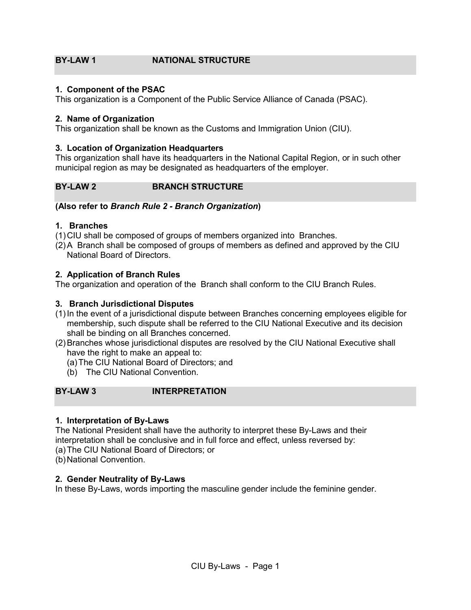# <span id="page-4-0"></span>**BY-LAW 1 NATIONAL STRUCTURE**

#### <span id="page-4-1"></span>**1. Component of the PSAC**

This organization is a Component of the Public Service Alliance of Canada (PSAC).

#### <span id="page-4-2"></span>**2. Name of Organization**

This organization shall be known as the Customs and Immigration Union (CIU).

#### <span id="page-4-3"></span>**3. Location of Organization Headquarters**

This organization shall have its headquarters in the National Capital Region, or in such other municipal region as may be designated as headquarters of the employer.

# <span id="page-4-4"></span>**BY-LAW 2 BRANCH STRUCTURE**

#### **(Also refer to** *Branch Rule 2 - Branch Organization***)**

#### <span id="page-4-5"></span>**1. Branches**

(1)CIU shall be composed of groups of members organized into Branches.

(2)A Branch shall be composed of groups of members as defined and approved by the CIU National Board of Directors.

#### <span id="page-4-6"></span>**2. Application of Branch Rules**

The organization and operation of the Branch shall conform to the CIU Branch Rules.

#### <span id="page-4-7"></span>**3. Branch Jurisdictional Disputes**

- (1)In the event of a jurisdictional dispute between Branches concerning employees eligible for membership, such dispute shall be referred to the CIU National Executive and its decision shall be binding on all Branches concerned.
- (2)Branches whose jurisdictional disputes are resolved by the CIU National Executive shall have the right to make an appeal to:
	- (a)The CIU National Board of Directors; and
	- (b) The CIU National Convention.

#### <span id="page-4-8"></span>**BY-LAW 3 INTERPRETATION**

#### <span id="page-4-9"></span>**1. Interpretation of By-Laws**

The National President shall have the authority to interpret these By-Laws and their interpretation shall be conclusive and in full force and effect, unless reversed by: (a)The CIU National Board of Directors; or

(b)National Convention.

#### <span id="page-4-10"></span>**2. Gender Neutrality of By-Laws**

In these By-Laws, words importing the masculine gender include the feminine gender.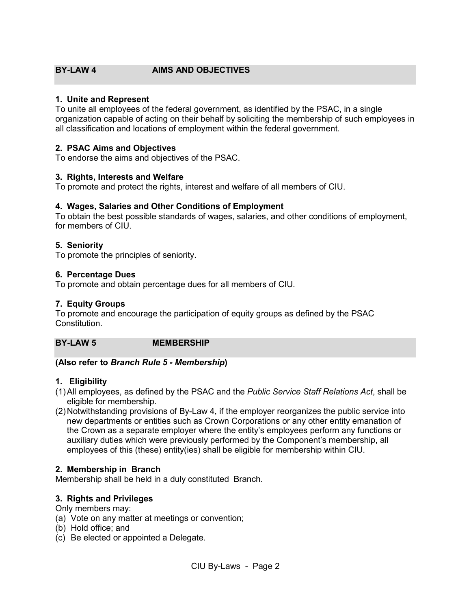# <span id="page-5-0"></span>**BY-LAW 4 AIMS AND OBJECTIVES**

#### <span id="page-5-1"></span>**1. Unite and Represent**

To unite all employees of the federal government, as identified by the PSAC, in a single organization capable of acting on their behalf by soliciting the membership of such employees in all classification and locations of employment within the federal government.

#### <span id="page-5-2"></span>**2. PSAC Aims and Objectives**

To endorse the aims and objectives of the PSAC.

#### <span id="page-5-3"></span>**3. Rights, Interests and Welfare**

To promote and protect the rights, interest and welfare of all members of CIU.

#### <span id="page-5-4"></span>**4. Wages, Salaries and Other Conditions of Employment**

To obtain the best possible standards of wages, salaries, and other conditions of employment, for members of CIU.

#### <span id="page-5-5"></span>**5. Seniority**

To promote the principles of seniority.

#### <span id="page-5-6"></span>**6. Percentage Dues**

To promote and obtain percentage dues for all members of CIU.

#### <span id="page-5-7"></span>**7. Equity Groups**

To promote and encourage the participation of equity groups as defined by the PSAC Constitution.

#### <span id="page-5-8"></span>**BY-LAW 5 MEMBERSHIP**

#### **(Also refer to** *Branch Rule 5 - Membership***)**

#### <span id="page-5-9"></span>**1. Eligibility**

- (1)All employees, as defined by the PSAC and the *Public Service Staff Relations Act*, shall be eligible for membership.
- (2)Notwithstanding provisions of By-Law 4, if the employer reorganizes the public service into new departments or entities such as Crown Corporations or any other entity emanation of the Crown as a separate employer where the entity's employees perform any functions or auxiliary duties which were previously performed by the Component's membership, all employees of this (these) entity(ies) shall be eligible for membership within CIU.

#### <span id="page-5-10"></span>**2. Membership in Branch**

Membership shall be held in a duly constituted Branch.

#### <span id="page-5-11"></span>**3. Rights and Privileges**

Only members may:

(a) Vote on any matter at meetings or convention;

- (b) Hold office; and
- (c) Be elected or appointed a Delegate.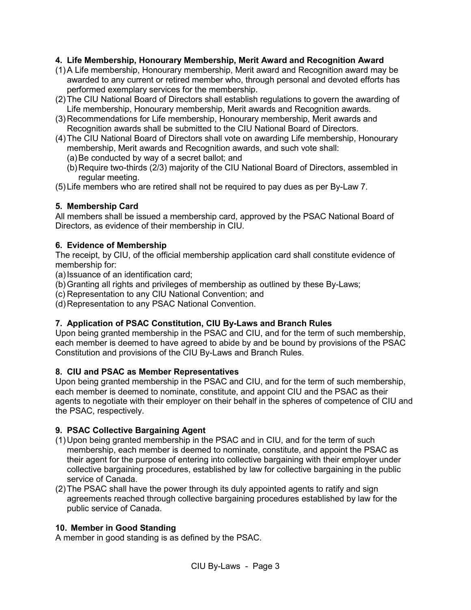#### <span id="page-6-0"></span>**4. Life Membership, Honourary Membership, Merit Award and Recognition Award**

- (1)A Life membership, Honourary membership, Merit award and Recognition award may be awarded to any current or retired member who, through personal and devoted efforts has performed exemplary services for the membership.
- (2)The CIU National Board of Directors shall establish regulations to govern the awarding of Life membership, Honourary membership, Merit awards and Recognition awards.
- (3)Recommendations for Life membership, Honourary membership, Merit awards and Recognition awards shall be submitted to the CIU National Board of Directors.
- (4)The CIU National Board of Directors shall vote on awarding Life membership, Honourary membership, Merit awards and Recognition awards, and such vote shall:
	- (a)Be conducted by way of a secret ballot; and
	- (b)Require two-thirds (2/3) majority of the CIU National Board of Directors, assembled in regular meeting.
- (5)Life members who are retired shall not be required to pay dues as per By-Law 7.

# <span id="page-6-1"></span>**5. Membership Card**

All members shall be issued a membership card, approved by the PSAC National Board of Directors, as evidence of their membership in CIU.

#### <span id="page-6-2"></span>**6. Evidence of Membership**

The receipt, by CIU, of the official membership application card shall constitute evidence of membership for:

(a) Issuance of an identification card;

(b) Granting all rights and privileges of membership as outlined by these By-Laws;

(c) Representation to any CIU National Convention; and

(d)Representation to any PSAC National Convention.

# <span id="page-6-3"></span>**7. Application of PSAC Constitution, CIU By-Laws and Branch Rules**

Upon being granted membership in the PSAC and CIU, and for the term of such membership, each member is deemed to have agreed to abide by and be bound by provisions of the PSAC Constitution and provisions of the CIU By-Laws and Branch Rules.

#### <span id="page-6-4"></span>**8. CIU and PSAC as Member Representatives**

Upon being granted membership in the PSAC and CIU, and for the term of such membership, each member is deemed to nominate, constitute, and appoint CIU and the PSAC as their agents to negotiate with their employer on their behalf in the spheres of competence of CIU and the PSAC, respectively.

# <span id="page-6-5"></span>**9. PSAC Collective Bargaining Agent**

- (1)Upon being granted membership in the PSAC and in CIU, and for the term of such membership, each member is deemed to nominate, constitute, and appoint the PSAC as their agent for the purpose of entering into collective bargaining with their employer under collective bargaining procedures, established by law for collective bargaining in the public service of Canada.
- (2)The PSAC shall have the power through its duly appointed agents to ratify and sign agreements reached through collective bargaining procedures established by law for the public service of Canada.

# <span id="page-6-6"></span>**10. Member in Good Standing**

A member in good standing is as defined by the PSAC.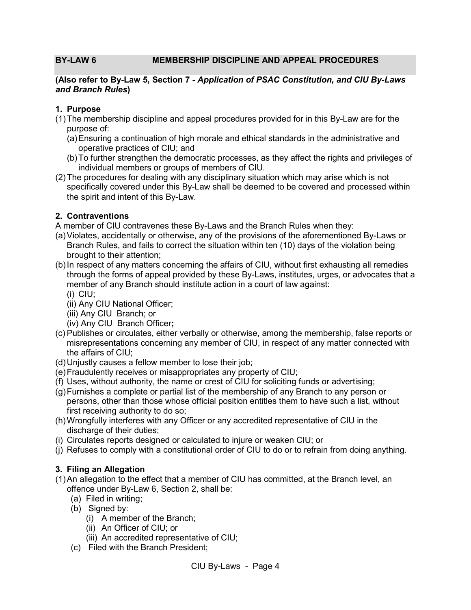#### <span id="page-7-0"></span>**BY-LAW 6 MEMBERSHIP DISCIPLINE AND APPEAL PROCEDURES**

#### **(Also refer to By-Law 5, Section 7 -** *Application of PSAC Constitution, and CIU By-Laws and Branch Rules***)**

#### <span id="page-7-1"></span>**1. Purpose**

- (1)The membership discipline and appeal procedures provided for in this By-Law are for the purpose of:
	- (a)Ensuring a continuation of high morale and ethical standards in the administrative and operative practices of CIU; and
	- (b)To further strengthen the democratic processes, as they affect the rights and privileges of individual members or groups of members of CIU.
- (2)The procedures for dealing with any disciplinary situation which may arise which is not specifically covered under this By-Law shall be deemed to be covered and processed within the spirit and intent of this By-Law.

#### <span id="page-7-2"></span>**2. Contraventions**

A member of CIU contravenes these By-Laws and the Branch Rules when they:

- (a)Violates, accidentally or otherwise, any of the provisions of the aforementioned By-Laws or Branch Rules, and fails to correct the situation within ten (10) days of the violation being brought to their attention;
- (b)In respect of any matters concerning the affairs of CIU, without first exhausting all remedies through the forms of appeal provided by these By-Laws, institutes, urges, or advocates that a member of any Branch should institute action in a court of law against:
	- (i) CIU;
	- (ii) Any CIU National Officer;
	- (iii) Any CIU Branch; or
	- (iv) Any CIU Branch Officer**;**
- (c) Publishes or circulates, either verbally or otherwise, among the membership, false reports or misrepresentations concerning any member of CIU, in respect of any matter connected with the affairs of CIU;
- (d)Unjustly causes a fellow member to lose their job;
- (e)Fraudulently receives or misappropriates any property of CIU;
- (f) Uses, without authority, the name or crest of CIU for soliciting funds or advertising;
- (g)Furnishes a complete or partial list of the membership of any Branch to any person or persons, other than those whose official position entitles them to have such a list, without first receiving authority to do so;
- (h)Wrongfully interferes with any Officer or any accredited representative of CIU in the discharge of their duties;
- (i) Circulates reports designed or calculated to injure or weaken CIU; or
- (j) Refuses to comply with a constitutional order of CIU to do or to refrain from doing anything.

# <span id="page-7-3"></span>**3. Filing an Allegation**

- (1)An allegation to the effect that a member of CIU has committed, at the Branch level, an offence under By-Law 6, Section 2, shall be:
	- (a) Filed in writing;
	- (b) Signed by:
		- (i) A member of the Branch;
		- (ii) An Officer of CIU; or
		- (iii) An accredited representative of CIU;
	- (c) Filed with the Branch President;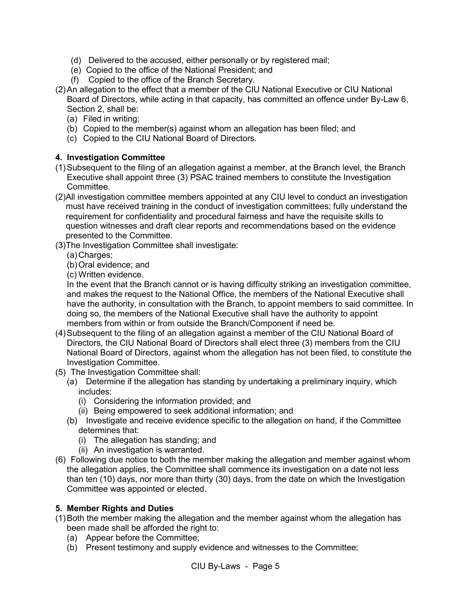- (d) Delivered to the accused, either personally or by registered mail;
- (e) Copied to the office of the National President; and
- (f) Copied to the office of the Branch Secretary.
- (2)An allegation to the effect that a member of the CIU National Executive or CIU National Board of Directors, while acting in that capacity, has committed an offence under By-Law 6, Section 2, shall be:
	- (a) Filed in writing;
	- (b) Copied to the member(s) against whom an allegation has been filed; and
	- (c) Copied to the CIU National Board of Directors.

#### <span id="page-8-0"></span>**4. Investigation Committee**

- (1)Subsequent to the filing of an allegation against a member, at the Branch level, the Branch Executive shall appoint three (3) PSAC trained members to constitute the Investigation Committee.
- (2)All investigation committee members appointed at any CIU level to conduct an investigation must have received training in the conduct of investigation committees; fully understand the requirement for confidentiality and procedural fairness and have the requisite skills to question witnesses and draft clear reports and recommendations based on the evidence presented to the Committee.
- (3)The Investigation Committee shall investigate:
	- (a) Charges:
	- (b)Oral evidence; and
	- (c) Written evidence.

In the event that the Branch cannot or is having difficulty striking an investigation committee, and makes the request to the National Office, the members of the National Executive shall have the authority, in consultation with the Branch, to appoint members to said committee. In doing so, the members of the National Executive shall have the authority to appoint members from within or from outside the Branch/Component if need be.

- (4)Subsequent to the filing of an allegation against a member of the CIU National Board of Directors, the CIU National Board of Directors shall elect three (3) members from the CIU National Board of Directors, against whom the allegation has not been filed, to constitute the Investigation Committee.
- (5) The Investigation Committee shall:
	- (a) Determine if the allegation has standing by undertaking a preliminary inquiry, which includes:
		- (i) Considering the information provided; and
		- (ii) Being empowered to seek additional information; and
	- (b) Investigate and receive evidence specific to the allegation on hand, if the Committee determines that:
		- (i) The allegation has standing; and
		- (ii) An investigation is warranted.
- (6) Following due notice to both the member making the allegation and member against whom the allegation applies, the Committee shall commence its investigation on a date not less than ten (10) days, nor more than thirty (30) days, from the date on which the Investigation Committee was appointed or elected.

# <span id="page-8-1"></span>**5. Member Rights and Duties**

- (1)Both the member making the allegation and the member against whom the allegation has been made shall be afforded the right to:
	- (a) Appear before the Committee;
	- (b) Present testimony and supply evidence and witnesses to the Committee;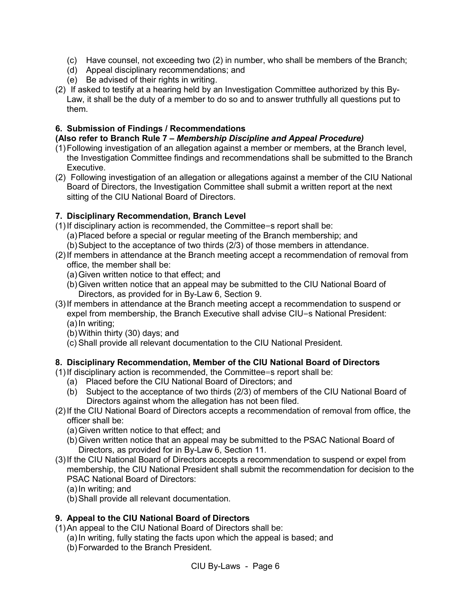- (c) Have counsel, not exceeding two (2) in number, who shall be members of the Branch;
- (d) Appeal disciplinary recommendations; and
- (e) Be advised of their rights in writing.
- (2) If asked to testify at a hearing held by an Investigation Committee authorized by this By-Law, it shall be the duty of a member to do so and to answer truthfully all questions put to them.

# <span id="page-9-0"></span>**6. Submission of Findings / Recommendations**

#### **(Also refer to Branch Rule 7 –** *Membership Discipline and Appeal Procedure)*

- (1)Following investigation of an allegation against a member or members, at the Branch level, the Investigation Committee findings and recommendations shall be submitted to the Branch Executive.
- (2) Following investigation of an allegation or allegations against a member of the CIU National Board of Directors, the Investigation Committee shall submit a written report at the next sitting of the CIU National Board of Directors.

# <span id="page-9-1"></span>**7. Disciplinary Recommendation, Branch Level**

- (1)If disciplinary action is recommended, the Committee=s report shall be:
	- (a)Placed before a special or regular meeting of the Branch membership; and
	- (b)Subject to the acceptance of two thirds (2/3) of those members in attendance.
- (2)If members in attendance at the Branch meeting accept a recommendation of removal from office, the member shall be:
	- (a)Given written notice to that effect; and
	- (b)Given written notice that an appeal may be submitted to the CIU National Board of Directors, as provided for in By-Law 6, Section 9.
- (3)If members in attendance at the Branch meeting accept a recommendation to suspend or expel from membership, the Branch Executive shall advise CIU=s National President: (a)In writing;
	- (b)Within thirty (30) days; and
	- (c) Shall provide all relevant documentation to the CIU National President.

# <span id="page-9-2"></span>**8. Disciplinary Recommendation, Member of the CIU National Board of Directors**

- (1)If disciplinary action is recommended, the Committee=s report shall be:
	- (a) Placed before the CIU National Board of Directors; and
	- (b) Subject to the acceptance of two thirds (2/3) of members of the CIU National Board of Directors against whom the allegation has not been filed.
- (2)If the CIU National Board of Directors accepts a recommendation of removal from office, the officer shall be:
	- (a)Given written notice to that effect; and
	- (b)Given written notice that an appeal may be submitted to the PSAC National Board of Directors, as provided for in By-Law 6, Section 11.
- (3)If the CIU National Board of Directors accepts a recommendation to suspend or expel from membership, the CIU National President shall submit the recommendation for decision to the PSAC National Board of Directors:
	- (a)In writing; and
	- (b)Shall provide all relevant documentation.

# <span id="page-9-3"></span>**9. Appeal to the CIU National Board of Directors**

(1)An appeal to the CIU National Board of Directors shall be:

- (a)In writing, fully stating the facts upon which the appeal is based; and
- (b)Forwarded to the Branch President.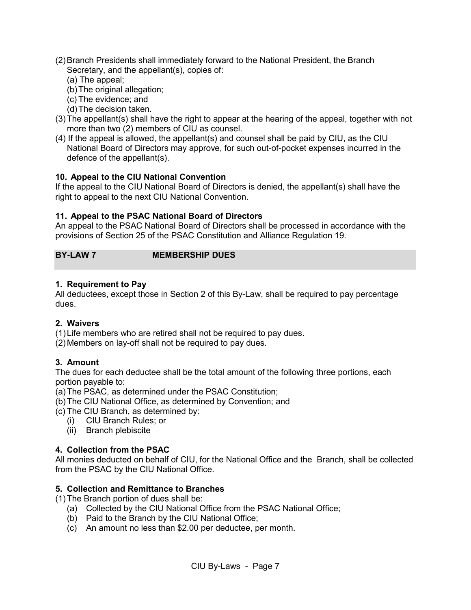- (2)Branch Presidents shall immediately forward to the National President, the Branch Secretary, and the appellant(s), copies of:
	- (a) The appeal;
	- (b)The original allegation;
	- (c) The evidence; and
	- (d)The decision taken.
- (3)The appellant(s) shall have the right to appear at the hearing of the appeal, together with not more than two (2) members of CIU as counsel.
- (4) If the appeal is allowed, the appellant(s) and counsel shall be paid by CIU, as the CIU National Board of Directors may approve, for such out-of-pocket expenses incurred in the defence of the appellant(s).

# <span id="page-10-0"></span>**10. Appeal to the CIU National Convention**

If the appeal to the CIU National Board of Directors is denied, the appellant(s) shall have the right to appeal to the next CIU National Convention.

# <span id="page-10-1"></span>**11. Appeal to the PSAC National Board of Directors**

An appeal to the PSAC National Board of Directors shall be processed in accordance with the provisions of Section 25 of the PSAC Constitution and Alliance Regulation 19.

# <span id="page-10-2"></span>**BY-LAW 7 MEMBERSHIP DUES**

#### <span id="page-10-3"></span>**1. Requirement to Pay**

All deductees, except those in Section 2 of this By-Law, shall be required to pay percentage dues.

# <span id="page-10-4"></span>**2. Waivers**

(1)Life members who are retired shall not be required to pay dues.

(2)Members on lay-off shall not be required to pay dues.

# <span id="page-10-5"></span>**3. Amount**

The dues for each deductee shall be the total amount of the following three portions, each portion payable to:

(a)The PSAC, as determined under the PSAC Constitution;

- (b)The CIU National Office, as determined by Convention; and
- (c) The CIU Branch, as determined by:
	- (i) CIU Branch Rules; or
	- (ii) Branch plebiscite

# <span id="page-10-6"></span>**4. Collection from the PSAC**

All monies deducted on behalf of CIU, for the National Office and the Branch, shall be collected from the PSAC by the CIU National Office.

# <span id="page-10-7"></span>**5. Collection and Remittance to Branches**

(1)The Branch portion of dues shall be:

- (a) Collected by the CIU National Office from the PSAC National Office;
- (b) Paid to the Branch by the CIU National Office;
- (c) An amount no less than \$2.00 per deductee, per month.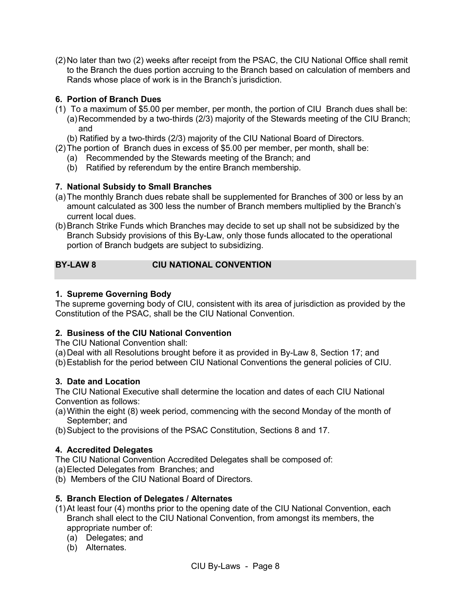(2)No later than two (2) weeks after receipt from the PSAC, the CIU National Office shall remit to the Branch the dues portion accruing to the Branch based on calculation of members and Rands whose place of work is in the Branch's jurisdiction.

# <span id="page-11-0"></span>**6. Portion of Branch Dues**

- (1) To a maximum of \$5.00 per member, per month, the portion of CIU Branch dues shall be:
	- (a)Recommended by a two-thirds (2/3) majority of the Stewards meeting of the CIU Branch; and
	- (b) Ratified by a two-thirds (2/3) majority of the CIU National Board of Directors.
- (2)The portion of Branch dues in excess of \$5.00 per member, per month, shall be:
	- (a) Recommended by the Stewards meeting of the Branch; and
	- (b) Ratified by referendum by the entire Branch membership.

# <span id="page-11-1"></span>**7. National Subsidy to Small Branches**

- (a)The monthly Branch dues rebate shall be supplemented for Branches of 300 or less by an amount calculated as 300 less the number of Branch members multiplied by the Branch's current local dues.
- (b)Branch Strike Funds which Branches may decide to set up shall not be subsidized by the Branch Subsidy provisions of this By-Law, only those funds allocated to the operational portion of Branch budgets are subject to subsidizing.

# <span id="page-11-2"></span>**BY-LAW 8 CIU NATIONAL CONVENTION**

# <span id="page-11-3"></span>**1. Supreme Governing Body**

The supreme governing body of CIU, consistent with its area of jurisdiction as provided by the Constitution of the PSAC, shall be the CIU National Convention.

# <span id="page-11-4"></span>**2. Business of the CIU National Convention**

The CIU National Convention shall:

(a)Deal with all Resolutions brought before it as provided in By-Law 8, Section 17; and (b)Establish for the period between CIU National Conventions the general policies of CIU.

# <span id="page-11-5"></span>**3. Date and Location**

The CIU National Executive shall determine the location and dates of each CIU National Convention as follows:

- (a)Within the eight (8) week period, commencing with the second Monday of the month of September; and
- (b)Subject to the provisions of the PSAC Constitution, Sections 8 and 17.

# <span id="page-11-6"></span>**4. Accredited Delegates**

The CIU National Convention Accredited Delegates shall be composed of:

- (a)Elected Delegates from Branches; and
- (b) Members of the CIU National Board of Directors.

# <span id="page-11-7"></span>**5. Branch Election of Delegates / Alternates**

- (1)At least four (4) months prior to the opening date of the CIU National Convention, each Branch shall elect to the CIU National Convention, from amongst its members, the appropriate number of:
	- (a) Delegates; and
	- (b) Alternates.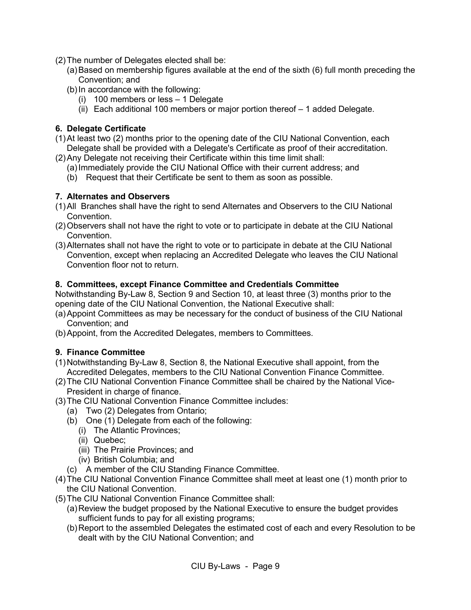- (2)The number of Delegates elected shall be:
	- (a)Based on membership figures available at the end of the sixth (6) full month preceding the Convention; and
	- (b)In accordance with the following:
		- (i) 100 members or less 1 Delegate
		- (ii) Each additional 100 members or major portion thereof 1 added Delegate.

#### <span id="page-12-0"></span>**6. Delegate Certificate**

- (1)At least two (2) months prior to the opening date of the CIU National Convention, each Delegate shall be provided with a Delegate's Certificate as proof of their accreditation.
- (2)Any Delegate not receiving their Certificate within this time limit shall:
	- (a)Immediately provide the CIU National Office with their current address; and
	- (b) Request that their Certificate be sent to them as soon as possible.

#### <span id="page-12-1"></span>**7. Alternates and Observers**

- (1)All Branches shall have the right to send Alternates and Observers to the CIU National Convention.
- (2)Observers shall not have the right to vote or to participate in debate at the CIU National Convention.
- (3)Alternates shall not have the right to vote or to participate in debate at the CIU National Convention, except when replacing an Accredited Delegate who leaves the CIU National Convention floor not to return.

#### <span id="page-12-2"></span>**8. Committees, except Finance Committee and Credentials Committee**

Notwithstanding By-Law 8, Section 9 and Section 10, at least three (3) months prior to the opening date of the CIU National Convention, the National Executive shall:

- (a)Appoint Committees as may be necessary for the conduct of business of the CIU National Convention; and
- (b)Appoint, from the Accredited Delegates, members to Committees.

#### <span id="page-12-3"></span>**9. Finance Committee**

- (1)Notwithstanding By-Law 8, Section 8, the National Executive shall appoint, from the Accredited Delegates, members to the CIU National Convention Finance Committee.
- (2)The CIU National Convention Finance Committee shall be chaired by the National Vice-President in charge of finance.
- (3)The CIU National Convention Finance Committee includes:
	- (a) Two (2) Delegates from Ontario;
	- (b) One (1) Delegate from each of the following:
		- (i) The Atlantic Provinces;
		- (ii) Quebec;
		- (iii) The Prairie Provinces; and
		- (iv) British Columbia; and
	- (c) A member of the CIU Standing Finance Committee.
- (4)The CIU National Convention Finance Committee shall meet at least one (1) month prior to the CIU National Convention.
- (5)The CIU National Convention Finance Committee shall:
	- (a)Review the budget proposed by the National Executive to ensure the budget provides sufficient funds to pay for all existing programs;
	- (b)Report to the assembled Delegates the estimated cost of each and every Resolution to be dealt with by the CIU National Convention; and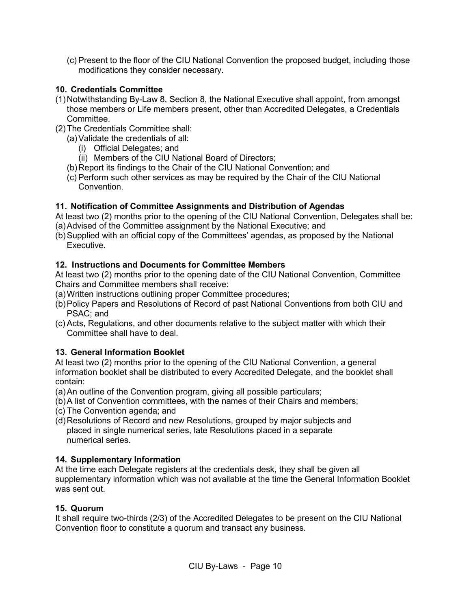(c) Present to the floor of the CIU National Convention the proposed budget, including those modifications they consider necessary.

# <span id="page-13-0"></span>**10. Credentials Committee**

- (1)Notwithstanding By-Law 8, Section 8, the National Executive shall appoint, from amongst those members or Life members present, other than Accredited Delegates, a Credentials Committee.
- (2)The Credentials Committee shall:
	- (a)Validate the credentials of all:
		- (i) Official Delegates; and
		- (ii) Members of the CIU National Board of Directors;
	- (b)Report its findings to the Chair of the CIU National Convention; and
	- (c) Perform such other services as may be required by the Chair of the CIU National Convention.

# <span id="page-13-1"></span>**11. Notification of Committee Assignments and Distribution of Agendas**

At least two (2) months prior to the opening of the CIU National Convention, Delegates shall be: (a)Advised of the Committee assignment by the National Executive; and

(b)Supplied with an official copy of the Committees' agendas, as proposed by the National Executive.

# <span id="page-13-2"></span>**12. Instructions and Documents for Committee Members**

At least two (2) months prior to the opening date of the CIU National Convention, Committee Chairs and Committee members shall receive:

- (a)Written instructions outlining proper Committee procedures;
- (b)Policy Papers and Resolutions of Record of past National Conventions from both CIU and PSAC; and
- (c) Acts, Regulations, and other documents relative to the subject matter with which their Committee shall have to deal.

# <span id="page-13-3"></span>**13. General Information Booklet**

At least two (2) months prior to the opening of the CIU National Convention, a general information booklet shall be distributed to every Accredited Delegate, and the booklet shall contain:

- (a)An outline of the Convention program, giving all possible particulars;
- (b)A list of Convention committees, with the names of their Chairs and members;
- (c) The Convention agenda; and
- (d)Resolutions of Record and new Resolutions, grouped by major subjects and placed in single numerical series, late Resolutions placed in a separate numerical series.

# <span id="page-13-4"></span>**14. Supplementary Information**

At the time each Delegate registers at the credentials desk, they shall be given all supplementary information which was not available at the time the General Information Booklet was sent out.

# <span id="page-13-5"></span>**15. Quorum**

It shall require two-thirds (2/3) of the Accredited Delegates to be present on the CIU National Convention floor to constitute a quorum and transact any business.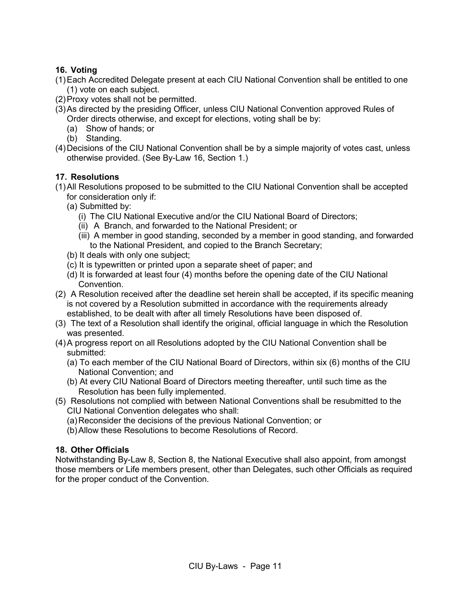# <span id="page-14-0"></span>**16. Voting**

- (1)Each Accredited Delegate present at each CIU National Convention shall be entitled to one (1) vote on each subject.
- (2)Proxy votes shall not be permitted.
- (3)As directed by the presiding Officer, unless CIU National Convention approved Rules of Order directs otherwise, and except for elections, voting shall be by:
	- (a) Show of hands; or
	- (b) Standing.
- (4)Decisions of the CIU National Convention shall be by a simple majority of votes cast, unless otherwise provided. (See By-Law 16, Section 1.)

# <span id="page-14-1"></span>**17. Resolutions**

- (1)All Resolutions proposed to be submitted to the CIU National Convention shall be accepted for consideration only if:
	- (a) Submitted by:
		- (i) The CIU National Executive and/or the CIU National Board of Directors;
		- (ii) A Branch, and forwarded to the National President; or
		- (iii) A member in good standing, seconded by a member in good standing, and forwarded to the National President, and copied to the Branch Secretary;
	- (b) It deals with only one subject;
	- (c) It is typewritten or printed upon a separate sheet of paper; and
	- (d) It is forwarded at least four (4) months before the opening date of the CIU National Convention.
- (2) A Resolution received after the deadline set herein shall be accepted, if its specific meaning is not covered by a Resolution submitted in accordance with the requirements already established, to be dealt with after all timely Resolutions have been disposed of.
- (3) The text of a Resolution shall identify the original, official language in which the Resolution was presented.
- (4)A progress report on all Resolutions adopted by the CIU National Convention shall be submitted:
	- (a) To each member of the CIU National Board of Directors, within six (6) months of the CIU National Convention; and
	- (b) At every CIU National Board of Directors meeting thereafter, until such time as the Resolution has been fully implemented.
- (5) Resolutions not complied with between National Conventions shall be resubmitted to the CIU National Convention delegates who shall:
	- (a)Reconsider the decisions of the previous National Convention; or
	- (b)Allow these Resolutions to become Resolutions of Record.

# <span id="page-14-2"></span>**18. Other Officials**

Notwithstanding By-Law 8, Section 8, the National Executive shall also appoint, from amongst those members or Life members present, other than Delegates, such other Officials as required for the proper conduct of the Convention.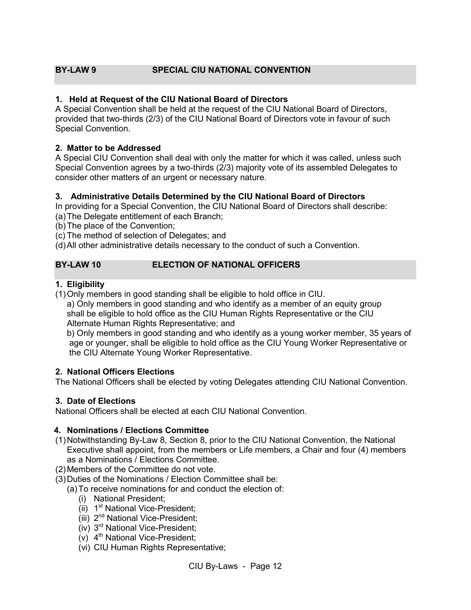# <span id="page-15-0"></span>**BY-LAW 9 SPECIAL CIU NATIONAL CONVENTION**

#### <span id="page-15-1"></span>**1. Held at Request of the CIU National Board of Directors**

A Special Convention shall be held at the request of the CIU National Board of Directors, provided that two-thirds (2/3) of the CIU National Board of Directors vote in favour of such Special Convention.

#### <span id="page-15-2"></span>**2. Matter to be Addressed**

A Special CIU Convention shall deal with only the matter for which it was called, unless such Special Convention agrees by a two-thirds (2/3) majority vote of its assembled Delegates to consider other matters of an urgent or necessary nature.

#### <span id="page-15-3"></span>**3. Administrative Details Determined by the CIU National Board of Directors**

In providing for a Special Convention, the CIU National Board of Directors shall describe:

- (a)The Delegate entitlement of each Branch;
- (b)The place of the Convention;
- (c) The method of selection of Delegates; and

<span id="page-15-4"></span>(d)All other administrative details necessary to the conduct of such a Convention.

# **BY-LAW 10 ELECTION OF NATIONAL OFFICERS**

#### <span id="page-15-5"></span>**1. Eligibility**

(1)Only members in good standing shall be eligible to hold office in CIU.

a) Only members in good standing and who identify as a member of an equity group shall be eligible to hold office as the CIU Human Rights Representative or the CIU Alternate Human Rights Representative; and

b) Only members in good standing and who identify as a young worker member, 35 years of age or younger, shall be eligible to hold office as the CIU Young Worker Representative or the CIU Alternate Young Worker Representative.

#### <span id="page-15-6"></span>**2. National Officers Elections**

The National Officers shall be elected by voting Delegates attending CIU National Convention.

#### <span id="page-15-7"></span>**3. Date of Elections**

National Officers shall be elected at each CIU National Convention.

#### <span id="page-15-8"></span> **4. Nominations / Elections Committee**

- (1)Notwithstanding By-Law 8, Section 8, prior to the CIU National Convention, the National Executive shall appoint, from the members or Life members, a Chair and four (4) members as a Nominations / Elections Committee.
- (2)Members of the Committee do not vote.
- (3)Duties of the Nominations / Election Committee shall be:
	- (a)To receive nominations for and conduct the election of:
		- (i) National President;
		- $(iii)$  1<sup>st</sup> National Vice-President:
		- (iii) 2nd National Vice-President;
		- (iv) 3rd National Vice-President;
		- $(v)$  4<sup>th</sup> National Vice-President;
		- (vi) CIU Human Rights Representative;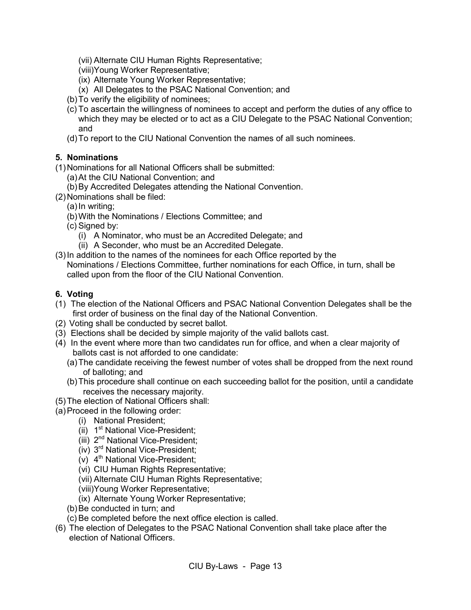(vii) Alternate CIU Human Rights Representative;

- (viii)Young Worker Representative;
- (ix) Alternate Young Worker Representative;
- (x) All Delegates to the PSAC National Convention; and
- (b)To verify the eligibility of nominees;
- (c) To ascertain the willingness of nominees to accept and perform the duties of any office to which they may be elected or to act as a CIU Delegate to the PSAC National Convention; and
- (d)To report to the CIU National Convention the names of all such nominees.

# <span id="page-16-0"></span>**5. Nominations**

(1)Nominations for all National Officers shall be submitted:

- (a)At the CIU National Convention; and
- (b)By Accredited Delegates attending the National Convention.
- (2)Nominations shall be filed:
	- (a)In writing;
	- (b)With the Nominations / Elections Committee; and
	- (c) Signed by:
		- (i) A Nominator, who must be an Accredited Delegate; and
		- (ii) A Seconder, who must be an Accredited Delegate.
- (3)In addition to the names of the nominees for each Office reported by the Nominations / Elections Committee, further nominations for each Office, in turn, shall be called upon from the floor of the CIU National Convention.

# <span id="page-16-1"></span>**6. Voting**

- (1) The election of the National Officers and PSAC National Convention Delegates shall be the first order of business on the final day of the National Convention.
- (2) Voting shall be conducted by secret ballot.
- (3) Elections shall be decided by simple majority of the valid ballots cast.
- (4) In the event where more than two candidates run for office, and when a clear majority of ballots cast is not afforded to one candidate:
	- (a)The candidate receiving the fewest number of votes shall be dropped from the next round of balloting; and
	- (b)This procedure shall continue on each succeeding ballot for the position, until a candidate receives the necessary majority.
- (5)The election of National Officers shall:
- (a)Proceed in the following order:
	- (i) National President;
	- (ii)  $1<sup>st</sup>$  National Vice-President;
	- (iii) 2<sup>nd</sup> National Vice-President;
	- $(iv)$  3<sup>rd</sup> National Vice-President;
	- $(v)$  4<sup>th</sup> National Vice-President;
	- (vi) CIU Human Rights Representative;
	- (vii) Alternate CIU Human Rights Representative;
	- (viii)Young Worker Representative;
	- (ix) Alternate Young Worker Representative;
	- (b) Be conducted in turn; and
	- (c) Be completed before the next office election is called.
- (6) The election of Delegates to the PSAC National Convention shall take place after the election of National Officers.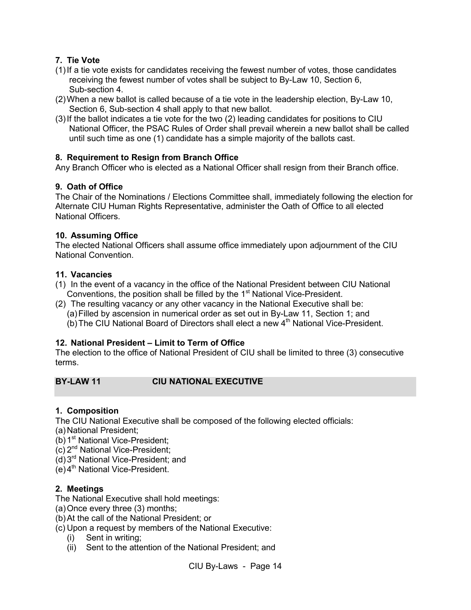# <span id="page-17-0"></span>**7. Tie Vote**

- (1)If a tie vote exists for candidates receiving the fewest number of votes, those candidates receiving the fewest number of votes shall be subject to By-Law 10, Section 6, Sub-section 4.
- (2)When a new ballot is called because of a tie vote in the leadership election, By-Law 10, Section 6, Sub-section 4 shall apply to that new ballot.
- (3)If the ballot indicates a tie vote for the two (2) leading candidates for positions to CIU National Officer, the PSAC Rules of Order shall prevail wherein a new ballot shall be called until such time as one (1) candidate has a simple majority of the ballots cast.

# <span id="page-17-1"></span>**8. Requirement to Resign from Branch Office**

Any Branch Officer who is elected as a National Officer shall resign from their Branch office.

# <span id="page-17-2"></span>**9. Oath of Office**

The Chair of the Nominations / Elections Committee shall, immediately following the election for Alternate CIU Human Rights Representative, administer the Oath of Office to all elected National Officers.

# <span id="page-17-3"></span>**10. Assuming Office**

<span id="page-17-4"></span>The elected National Officers shall assume office immediately upon adjournment of the CIU National Convention.

# **11. Vacancies**

- (1) In the event of a vacancy in the office of the National President between CIU National Conventions, the position shall be filled by the  $1<sup>st</sup>$  National Vice-President.
- (2) The resulting vacancy or any other vacancy in the National Executive shall be: (a)Filled by ascension in numerical order as set out in By-Law 11, Section 1; and
	- (b) The CIU National Board of Directors shall elect a new  $4<sup>th</sup>$  National Vice-President.

# <span id="page-17-5"></span>**12. National President – Limit to Term of Office**

The election to the office of National President of CIU shall be limited to three (3) consecutive terms.

# <span id="page-17-6"></span>**BY-LAW 11 CIU NATIONAL EXECUTIVE**

# <span id="page-17-7"></span>**1. Composition**

The CIU National Executive shall be composed of the following elected officials:

(a)National President;

- (b)  $1^{st}$  National Vice-President;
- (c) 2nd National Vice-President;
- (d)3rd National Vice-President; and
- $(e)$ 4<sup>th</sup> National Vice-President.

# <span id="page-17-8"></span>**2. Meetings**

The National Executive shall hold meetings:

- (a)Once every three (3) months;
- (b)At the call of the National President; or

(c) Upon a request by members of the National Executive:

- (i) Sent in writing;
- (ii) Sent to the attention of the National President; and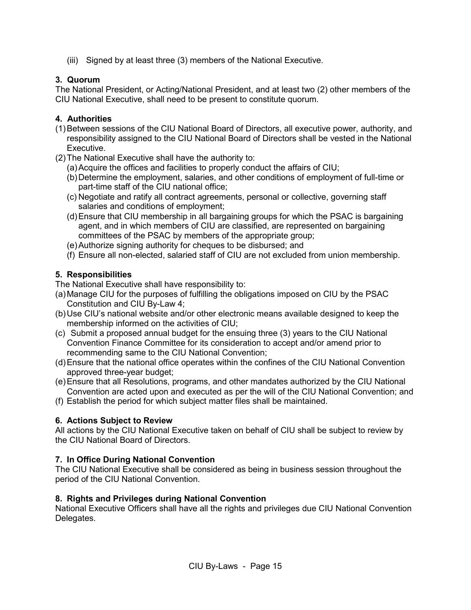(iii) Signed by at least three (3) members of the National Executive.

#### <span id="page-18-0"></span>**3. Quorum**

The National President, or Acting/National President, and at least two (2) other members of the CIU National Executive, shall need to be present to constitute quorum.

#### <span id="page-18-1"></span>**4. Authorities**

- (1)Between sessions of the CIU National Board of Directors, all executive power, authority, and responsibility assigned to the CIU National Board of Directors shall be vested in the National Executive.
- (2)The National Executive shall have the authority to:
	- (a)Acquire the offices and facilities to properly conduct the affairs of CIU;
	- (b)Determine the employment, salaries, and other conditions of employment of full-time or part-time staff of the CIU national office;
	- (c) Negotiate and ratify all contract agreements, personal or collective, governing staff salaries and conditions of employment;
	- (d)Ensure that CIU membership in all bargaining groups for which the PSAC is bargaining agent, and in which members of CIU are classified, are represented on bargaining committees of the PSAC by members of the appropriate group;
	- (e)Authorize signing authority for cheques to be disbursed; and
	- (f) Ensure all non-elected, salaried staff of CIU are not excluded from union membership.

#### <span id="page-18-2"></span>**5. Responsibilities**

The National Executive shall have responsibility to:

- (a)Manage CIU for the purposes of fulfilling the obligations imposed on CIU by the PSAC Constitution and CIU By-Law 4;
- (b)Use CIU's national website and/or other electronic means available designed to keep the membership informed on the activities of CIU;
- (c) Submit a proposed annual budget for the ensuing three (3) years to the CIU National Convention Finance Committee for its consideration to accept and/or amend prior to recommending same to the CIU National Convention;
- (d)Ensure that the national office operates within the confines of the CIU National Convention approved three-year budget;
- (e)Ensure that all Resolutions, programs, and other mandates authorized by the CIU National Convention are acted upon and executed as per the will of the CIU National Convention; and
- (f) Establish the period for which subject matter files shall be maintained.

#### <span id="page-18-3"></span>**6. Actions Subject to Review**

All actions by the CIU National Executive taken on behalf of CIU shall be subject to review by the CIU National Board of Directors.

# <span id="page-18-4"></span>**7. In Office During National Convention**

The CIU National Executive shall be considered as being in business session throughout the period of the CIU National Convention.

#### <span id="page-18-5"></span>**8. Rights and Privileges during National Convention**

National Executive Officers shall have all the rights and privileges due CIU National Convention Delegates.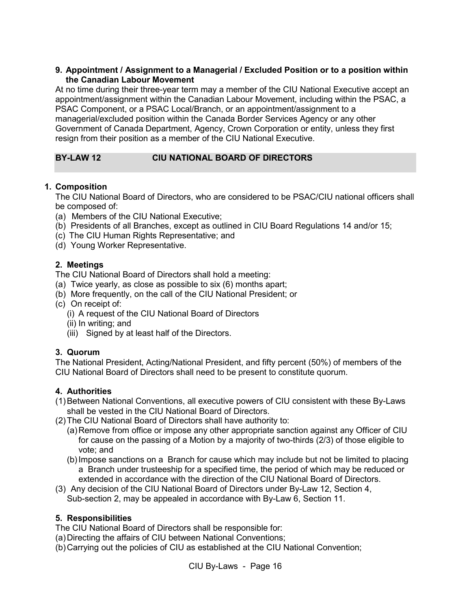#### <span id="page-19-0"></span>**9. Appointment / Assignment to a Managerial / Excluded Position or to a position within the Canadian Labour Movement**

At no time during their three-year term may a member of the CIU National Executive accept an appointment/assignment within the Canadian Labour Movement, including within the PSAC, a PSAC Component, or a PSAC Local/Branch, or an appointment/assignment to a managerial/excluded position within the Canada Border Services Agency or any other Government of Canada Department, Agency, Crown Corporation or entity, unless they first resign from their position as a member of the CIU National Executive.

# <span id="page-19-1"></span>**BY-LAW 12 CIU NATIONAL BOARD OF DIRECTORS**

#### <span id="page-19-2"></span>**1. Composition**

The CIU National Board of Directors, who are considered to be PSAC/CIU national officers shall be composed of:

- (a) Members of the CIU National Executive;
- (b) Presidents of all Branches, except as outlined in CIU Board Regulations 14 and/or 15;
- (c) The CIU Human Rights Representative; and
- (d) Young Worker Representative.

#### <span id="page-19-3"></span>**2. Meetings**

The CIU National Board of Directors shall hold a meeting:

- (a) Twice yearly, as close as possible to six (6) months apart;
- (b) More frequently, on the call of the CIU National President; or
- (c) On receipt of:
	- (i) A request of the CIU National Board of Directors
	- (ii) In writing; and
	- (iii) Signed by at least half of the Directors.

# <span id="page-19-4"></span>**3. Quorum**

The National President, Acting/National President, and fifty percent (50%) of members of the CIU National Board of Directors shall need to be present to constitute quorum.

# <span id="page-19-5"></span>**4. Authorities**

- (1)Between National Conventions, all executive powers of CIU consistent with these By-Laws shall be vested in the CIU National Board of Directors.
- (2)The CIU National Board of Directors shall have authority to:
	- (a)Remove from office or impose any other appropriate sanction against any Officer of CIU for cause on the passing of a Motion by a majority of two-thirds (2/3) of those eligible to vote; and
	- (b)Impose sanctions on a Branch for cause which may include but not be limited to placing a Branch under trusteeship for a specified time, the period of which may be reduced or extended in accordance with the direction of the CIU National Board of Directors.
- (3) Any decision of the CIU National Board of Directors under By-Law 12, Section 4, Sub-section 2, may be appealed in accordance with By-Law 6, Section 11.

# <span id="page-19-6"></span>**5. Responsibilities**

The CIU National Board of Directors shall be responsible for:

- (a)Directing the affairs of CIU between National Conventions;
- (b)Carrying out the policies of CIU as established at the CIU National Convention;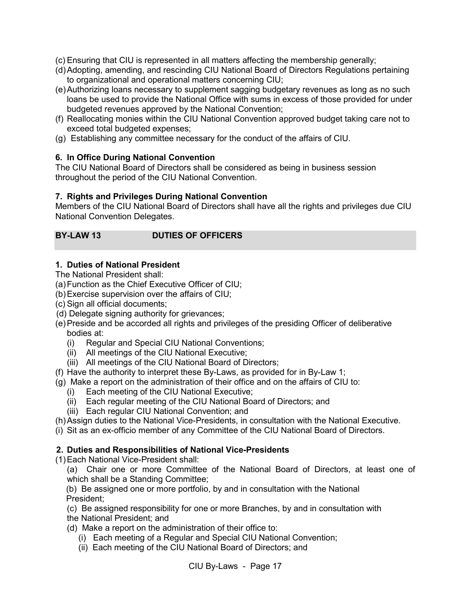(c) Ensuring that CIU is represented in all matters affecting the membership generally;

- (d)Adopting, amending, and rescinding CIU National Board of Directors Regulations pertaining to organizational and operational matters concerning CIU;
- (e)Authorizing loans necessary to supplement sagging budgetary revenues as long as no such loans be used to provide the National Office with sums in excess of those provided for under budgeted revenues approved by the National Convention;
- (f) Reallocating monies within the CIU National Convention approved budget taking care not to exceed total budgeted expenses;
- (g) Establishing any committee necessary for the conduct of the affairs of CIU.

# <span id="page-20-0"></span>**6. In Office During National Convention**

The CIU National Board of Directors shall be considered as being in business session throughout the period of the CIU National Convention.

# <span id="page-20-1"></span>**7. Rights and Privileges During National Convention**

Members of the CIU National Board of Directors shall have all the rights and privileges due CIU National Convention Delegates.

# <span id="page-20-2"></span>**BY-LAW 13 DUTIES OF OFFICERS**

# <span id="page-20-3"></span>**1. Duties of National President**

The National President shall:

(a)Function as the Chief Executive Officer of CIU;

- (b)Exercise supervision over the affairs of CIU;
- (c) Sign all official documents;
- (d) Delegate signing authority for grievances;
- (e)Preside and be accorded all rights and privileges of the presiding Officer of deliberative bodies at:
	- (i) Regular and Special CIU National Conventions;
	- (ii) All meetings of the CIU National Executive;
	- (iii) All meetings of the CIU National Board of Directors;
- (f) Have the authority to interpret these By-Laws, as provided for in By-Law 1;
- (g) Make a report on the administration of their office and on the affairs of CIU to:
	- (i) Each meeting of the CIU National Executive;
	- (ii) Each regular meeting of the CIU National Board of Directors; and
	- (iii) Each regular CIU National Convention; and
- (h)Assign duties to the National Vice-Presidents, in consultation with the National Executive.
- (i) Sit as an ex-officio member of any Committee of the CIU National Board of Directors.

# <span id="page-20-4"></span> **2. Duties and Responsibilities of National Vice-Presidents**

(1)Each National Vice-President shall:

(a) Chair one or more Committee of the National Board of Directors, at least one of which shall be a Standing Committee;

(b) Be assigned one or more portfolio, by and in consultation with the National President;

(c) Be assigned responsibility for one or more Branches, by and in consultation with

- the National President; and
- (d) Make a report on the administration of their office to:
	- (i) Each meeting of a Regular and Special CIU National Convention;
	- (ii) Each meeting of the CIU National Board of Directors; and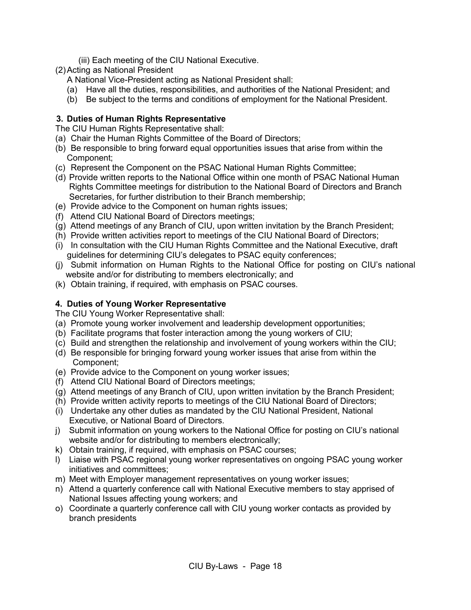- (iii) Each meeting of the CIU National Executive.
- (2)Acting as National President
	- A National Vice-President acting as National President shall:
	- (a) Have all the duties, responsibilities, and authorities of the National President; and
	- (b) Be subject to the terms and conditions of employment for the National President.

# <span id="page-21-0"></span> **3. Duties of Human Rights Representative**

The CIU Human Rights Representative shall:

- (a) Chair the Human Rights Committee of the Board of Directors;
- (b) Be responsible to bring forward equal opportunities issues that arise from within the Component;
- (c) Represent the Component on the PSAC National Human Rights Committee;
- (d) Provide written reports to the National Office within one month of PSAC National Human Rights Committee meetings for distribution to the National Board of Directors and Branch Secretaries, for further distribution to their Branch membership;
- (e) Provide advice to the Component on human rights issues;
- (f) Attend CIU National Board of Directors meetings;
- (g) Attend meetings of any Branch of CIU, upon written invitation by the Branch President;
- (h) Provide written activities report to meetings of the CIU National Board of Directors;
- (i) In consultation with the CIU Human Rights Committee and the National Executive, draft guidelines for determining CIU's delegates to PSAC equity conferences;
- (j) Submit information on Human Rights to the National Office for posting on CIU's national website and/or for distributing to members electronically; and
- (k) Obtain training, if required, with emphasis on PSAC courses.

# <span id="page-21-1"></span>**4. Duties of Young Worker Representative**

The CIU Young Worker Representative shall:

- (a) Promote young worker involvement and leadership development opportunities;
- (b) Facilitate programs that foster interaction among the young workers of CIU;
- (c) Build and strengthen the relationship and involvement of young workers within the CIU;
- (d) Be responsible for bringing forward young worker issues that arise from within the Component;
- (e) Provide advice to the Component on young worker issues;
- (f) Attend CIU National Board of Directors meetings;
- (g) Attend meetings of any Branch of CIU, upon written invitation by the Branch President;
- (h) Provide written activity reports to meetings of the CIU National Board of Directors;
- (i) Undertake any other duties as mandated by the CIU National President, National Executive, or National Board of Directors.
- j) Submit information on young workers to the National Office for posting on CIU's national website and/or for distributing to members electronically;
- k) Obtain training, if required, with emphasis on PSAC courses;
- l) Liaise with PSAC regional young worker representatives on ongoing PSAC young worker initiatives and committees;
- m) Meet with Employer management representatives on young worker issues;
- n) Attend a quarterly conference call with National Executive members to stay apprised of National Issues affecting young workers; and
- o) Coordinate a quarterly conference call with CIU young worker contacts as provided by branch presidents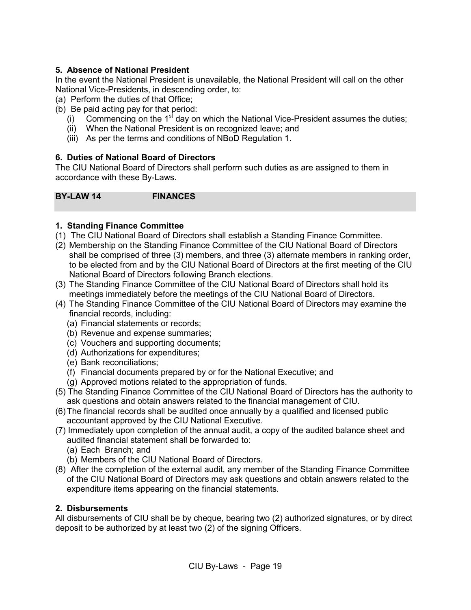# <span id="page-22-0"></span>**5. Absence of National President**

In the event the National President is unavailable, the National President will call on the other National Vice-Presidents, in descending order, to:

- (a) Perform the duties of that Office;
- (b) Be paid acting pay for that period:
	- (i) Commencing on the  $1<sup>st</sup>$  day on which the National Vice-President assumes the duties;
	- (ii) When the National President is on recognized leave; and
	- (iii) As per the terms and conditions of NBoD Regulation 1.

#### <span id="page-22-1"></span>**6. Duties of National Board of Directors**

The CIU National Board of Directors shall perform such duties as are assigned to them in accordance with these By-Laws.

<span id="page-22-2"></span>**BY-LAW 14 FINANCES**

#### <span id="page-22-3"></span>**1. Standing Finance Committee**

- (1) The CIU National Board of Directors shall establish a Standing Finance Committee.
- (2) Membership on the Standing Finance Committee of the CIU National Board of Directors shall be comprised of three (3) members, and three (3) alternate members in ranking order, to be elected from and by the CIU National Board of Directors at the first meeting of the CIU National Board of Directors following Branch elections.
- (3) The Standing Finance Committee of the CIU National Board of Directors shall hold its meetings immediately before the meetings of the CIU National Board of Directors.
- (4) The Standing Finance Committee of the CIU National Board of Directors may examine the financial records, including:
	- (a) Financial statements or records;
	- (b) Revenue and expense summaries;
	- (c) Vouchers and supporting documents;
	- (d) Authorizations for expenditures;
	- (e) Bank reconciliations;
	- (f) Financial documents prepared by or for the National Executive; and
	- (g) Approved motions related to the appropriation of funds.
- (5) The Standing Finance Committee of the CIU National Board of Directors has the authority to ask questions and obtain answers related to the financial management of CIU.
- (6)The financial records shall be audited once annually by a qualified and licensed public accountant approved by the CIU National Executive.
- (7) Immediately upon completion of the annual audit, a copy of the audited balance sheet and audited financial statement shall be forwarded to:
	- (a) Each Branch; and
	- (b) Members of the CIU National Board of Directors.
- (8) After the completion of the external audit, any member of the Standing Finance Committee of the CIU National Board of Directors may ask questions and obtain answers related to the expenditure items appearing on the financial statements.

#### **2. Disbursements**

All disbursements of CIU shall be by cheque, bearing two (2) authorized signatures, or by direct deposit to be authorized by at least two (2) of the signing Officers.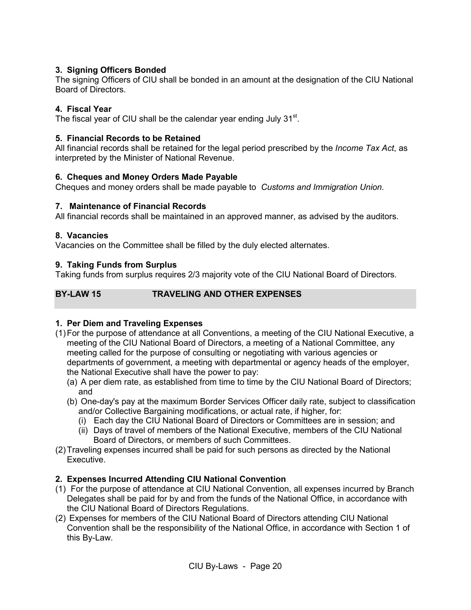# <span id="page-23-0"></span>**3. Signing Officers Bonded**

The signing Officers of CIU shall be bonded in an amount at the designation of the CIU National Board of Directors.

# <span id="page-23-1"></span>**4. Fiscal Year**

The fiscal year of CIU shall be the calendar year ending July  $31<sup>st</sup>$ .

# <span id="page-23-2"></span>**5. Financial Records to be Retained**

All financial records shall be retained for the legal period prescribed by the *Income Tax Act*, as interpreted by the Minister of National Revenue.

#### <span id="page-23-3"></span>**6. Cheques and Money Orders Made Payable**

Cheques and money orders shall be made payable to *Customs and Immigration Union.*

#### <span id="page-23-4"></span>**7. Maintenance of Financial Records**

All financial records shall be maintained in an approved manner, as advised by the auditors.

#### <span id="page-23-5"></span>**8. Vacancies**

Vacancies on the Committee shall be filled by the duly elected alternates.

#### <span id="page-23-6"></span>**9. Taking Funds from Surplus**

Taking funds from surplus requires 2/3 majority vote of the CIU National Board of Directors.

# <span id="page-23-7"></span>**BY-LAW 15 TRAVELING AND OTHER EXPENSES**

# <span id="page-23-8"></span>**1. Per Diem and Traveling Expenses**

- (1)For the purpose of attendance at all Conventions, a meeting of the CIU National Executive, a meeting of the CIU National Board of Directors, a meeting of a National Committee, any meeting called for the purpose of consulting or negotiating with various agencies or departments of government, a meeting with departmental or agency heads of the employer, the National Executive shall have the power to pay:
	- (a) A per diem rate, as established from time to time by the CIU National Board of Directors; and
	- (b) One-day's pay at the maximum Border Services Officer daily rate, subject to classification and/or Collective Bargaining modifications, or actual rate, if higher, for:
		- (i) Each day the CIU National Board of Directors or Committees are in session; and
		- (ii) Days of travel of members of the National Executive, members of the CIU National Board of Directors, or members of such Committees.
- (2)Traveling expenses incurred shall be paid for such persons as directed by the National Executive.

# <span id="page-23-9"></span>**2. Expenses Incurred Attending CIU National Convention**

- (1) For the purpose of attendance at CIU National Convention, all expenses incurred by Branch Delegates shall be paid for by and from the funds of the National Office, in accordance with the CIU National Board of Directors Regulations.
- (2) Expenses for members of the CIU National Board of Directors attending CIU National Convention shall be the responsibility of the National Office, in accordance with Section 1 of this By-Law.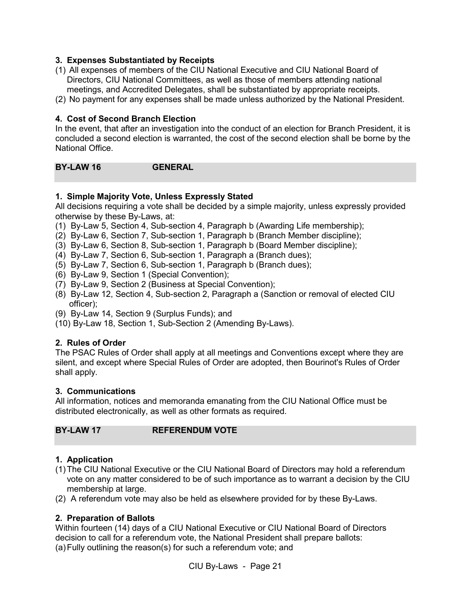#### <span id="page-24-0"></span>**3. Expenses Substantiated by Receipts**

- (1) All expenses of members of the CIU National Executive and CIU National Board of Directors, CIU National Committees, as well as those of members attending national meetings, and Accredited Delegates, shall be substantiated by appropriate receipts.
- (2) No payment for any expenses shall be made unless authorized by the National President.

#### <span id="page-24-1"></span>**4. Cost of Second Branch Election**

In the event, that after an investigation into the conduct of an election for Branch President, it is concluded a second election is warranted, the cost of the second election shall be borne by the National Office.

<span id="page-24-2"></span>**BY-LAW 16 GENERAL**

#### <span id="page-24-3"></span>**1. Simple Majority Vote, Unless Expressly Stated**

All decisions requiring a vote shall be decided by a simple majority, unless expressly provided otherwise by these By-Laws, at:

- (1) By-Law 5, Section 4, Sub-section 4, Paragraph b (Awarding Life membership);
- (2) By-Law 6, Section 7, Sub-section 1, Paragraph b (Branch Member discipline);
- (3) By-Law 6, Section 8, Sub-section 1, Paragraph b (Board Member discipline);
- (4) By-Law 7, Section 6, Sub-section 1, Paragraph a (Branch dues);
- (5) By-Law 7, Section 6, Sub-section 1, Paragraph b (Branch dues);
- (6) By-Law 9, Section 1 (Special Convention);
- (7) By-Law 9, Section 2 (Business at Special Convention);
- (8) By-Law 12, Section 4, Sub-section 2, Paragraph a (Sanction or removal of elected CIU officer);
- (9) By-Law 14, Section 9 (Surplus Funds); and
- (10) By-Law 18, Section 1, Sub-Section 2 (Amending By-Laws).

#### <span id="page-24-4"></span>**2. Rules of Order**

The PSAC Rules of Order shall apply at all meetings and Conventions except where they are silent, and except where Special Rules of Order are adopted, then Bourinot's Rules of Order shall apply.

#### <span id="page-24-5"></span>**3. Communications**

All information, notices and memoranda emanating from the CIU National Office must be distributed electronically, as well as other formats as required.

#### <span id="page-24-6"></span>**BY-LAW 17 REFERENDUM VOTE**

#### <span id="page-24-7"></span>**1. Application**

- (1)The CIU National Executive or the CIU National Board of Directors may hold a referendum vote on any matter considered to be of such importance as to warrant a decision by the CIU membership at large.
- (2) A referendum vote may also be held as elsewhere provided for by these By-Laws.

#### <span id="page-24-8"></span>**2. Preparation of Ballots**

Within fourteen (14) days of a CIU National Executive or CIU National Board of Directors decision to call for a referendum vote, the National President shall prepare ballots: (a)Fully outlining the reason(s) for such a referendum vote; and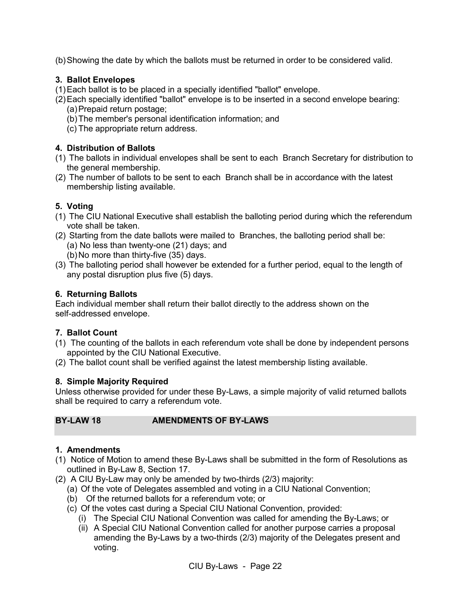(b)Showing the date by which the ballots must be returned in order to be considered valid.

#### <span id="page-25-0"></span>**3. Ballot Envelopes**

- (1)Each ballot is to be placed in a specially identified "ballot" envelope.
- (2)Each specially identified "ballot" envelope is to be inserted in a second envelope bearing: (a)Prepaid return postage;
	- (b)The member's personal identification information; and
	- (c) The appropriate return address.

# <span id="page-25-1"></span>**4. Distribution of Ballots**

- (1) The ballots in individual envelopes shall be sent to each Branch Secretary for distribution to the general membership.
- (2) The number of ballots to be sent to each Branch shall be in accordance with the latest membership listing available.

# <span id="page-25-2"></span>**5. Voting**

- (1) The CIU National Executive shall establish the balloting period during which the referendum vote shall be taken.
- (2) Starting from the date ballots were mailed to Branches, the balloting period shall be: (a) No less than twenty-one (21) days; and
	- (b)No more than thirty-five (35) days.
- (3) The balloting period shall however be extended for a further period, equal to the length of any postal disruption plus five (5) days.

#### <span id="page-25-3"></span>**6. Returning Ballots**

Each individual member shall return their ballot directly to the address shown on the self-addressed envelope.

#### <span id="page-25-4"></span>**7. Ballot Count**

- (1) The counting of the ballots in each referendum vote shall be done by independent persons appointed by the CIU National Executive.
- (2) The ballot count shall be verified against the latest membership listing available.

#### <span id="page-25-5"></span>**8. Simple Majority Required**

Unless otherwise provided for under these By-Laws, a simple majority of valid returned ballots shall be required to carry a referendum vote.

<span id="page-25-6"></span>**BY-LAW 18 AMENDMENTS OF BY-LAWS**

#### <span id="page-25-7"></span>**1. Amendments**

- (1) Notice of Motion to amend these By-Laws shall be submitted in the form of Resolutions as outlined in By-Law 8, Section 17.
- (2) A CIU By-Law may only be amended by two-thirds (2/3) majority:
	- (a) Of the vote of Delegates assembled and voting in a CIU National Convention;
	- (b) Of the returned ballots for a referendum vote; or
	- (c) Of the votes cast during a Special CIU National Convention, provided:
		- (i) The Special CIU National Convention was called for amending the By-Laws; or
		- (ii) A Special CIU National Convention called for another purpose carries a proposal amending the By-Laws by a two-thirds (2/3) majority of the Delegates present and voting.